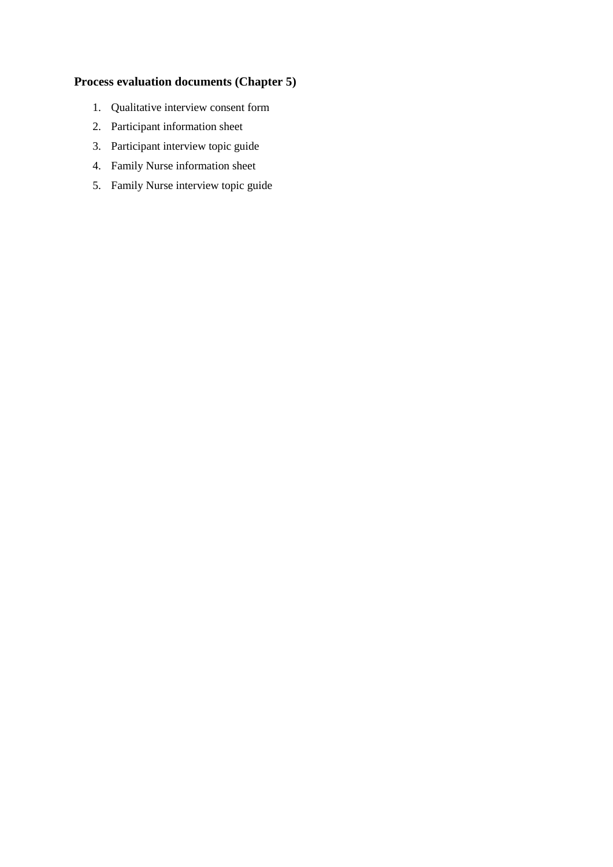### **Process evaluation documents (Chapter 5)**

- 1. Qualitative interview consent form
- 2. Participant information sheet
- 3. Participant interview topic guide
- 4. Family Nurse information sheet
- 5. Family Nurse interview topic guide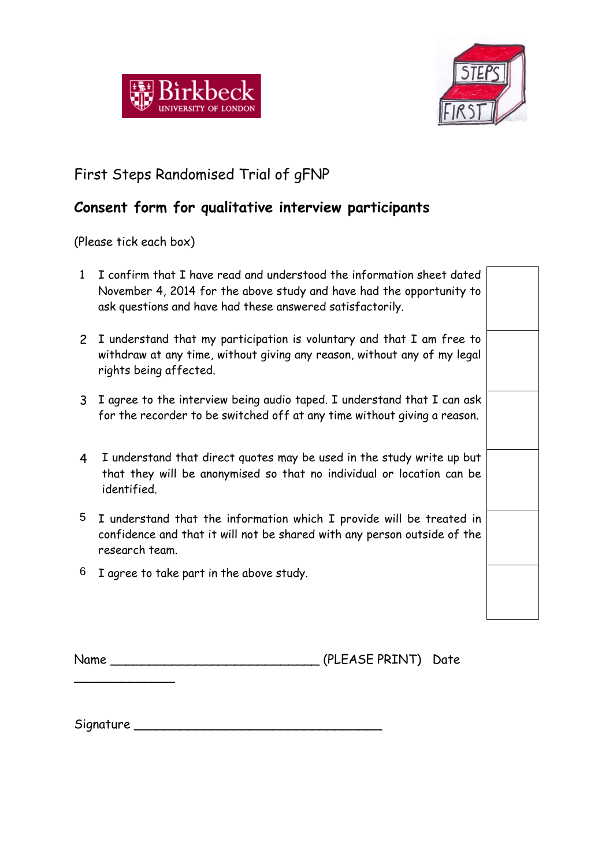



# First Steps Randomised Trial of gFNP

# **Consent form for qualitative interview participants**

(Please tick each box)

\_\_\_\_\_\_\_\_\_\_\_\_\_

| 1 | I confirm that I have read and understood the information sheet dated<br>November 4, 2014 for the above study and have had the opportunity to<br>ask questions and have had these answered satisfactorily. |  |
|---|------------------------------------------------------------------------------------------------------------------------------------------------------------------------------------------------------------|--|
|   | 2 I understand that my participation is voluntary and that I am free to<br>withdraw at any time, without giving any reason, without any of my legal<br>rights being affected.                              |  |
| 3 | I agree to the interview being audio taped. I understand that I can ask<br>for the recorder to be switched off at any time without giving a reason.                                                        |  |
| 4 | I understand that direct quotes may be used in the study write up but<br>that they will be anonymised so that no individual or location can be<br>identified.                                              |  |
| 5 | I understand that the information which I provide will be treated in<br>confidence and that it will not be shared with any person outside of the<br>research team.                                         |  |
| 6 | I agree to take part in the above study.                                                                                                                                                                   |  |

Name \_\_\_\_\_\_\_\_\_\_\_\_\_\_\_\_\_\_\_\_\_\_\_\_\_\_\_ (PLEASE PRINT) Date

Signature \_\_\_\_\_\_\_\_\_\_\_\_\_\_\_\_\_\_\_\_\_\_\_\_\_\_\_\_\_\_\_\_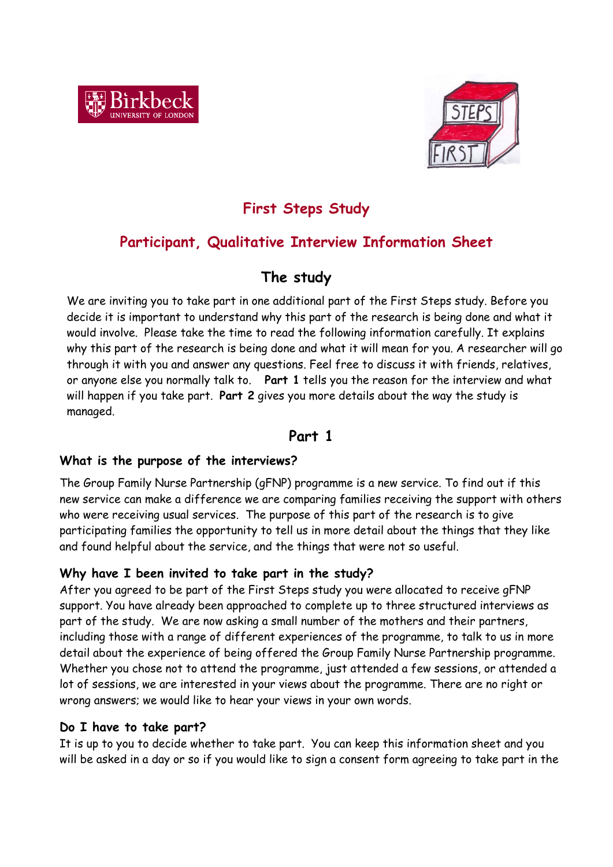



# **First Steps Study**

## **Participant, Qualitative Interview Information Sheet**

## **The study**

We are inviting you to take part in one additional part of the First Steps study. Before you decide it is important to understand why this part of the research is being done and what it would involve. Please take the time to read the following information carefully. It explains why this part of the research is being done and what it will mean for you. A researcher will go through it with you and answer any questions. Feel free to discuss it with friends, relatives, or anyone else you normally talk to. **Part 1** tells you the reason for the interview and what will happen if you take part. **Part 2** gives you more details about the way the study is managed.

## **Part 1**

## **What is the purpose of the interviews?**

The Group Family Nurse Partnership (gFNP) programme is a new service. To find out if this new service can make a difference we are comparing families receiving the support with others who were receiving usual services. The purpose of this part of the research is to give participating families the opportunity to tell us in more detail about the things that they like and found helpful about the service, and the things that were not so useful.

## **Why have I been invited to take part in the study?**

After you agreed to be part of the First Steps study you were allocated to receive gFNP support. You have already been approached to complete up to three structured interviews as part of the study. We are now asking a small number of the mothers and their partners, including those with a range of different experiences of the programme, to talk to us in more detail about the experience of being offered the Group Family Nurse Partnership programme. Whether you chose not to attend the programme, just attended a few sessions, or attended a lot of sessions, we are interested in your views about the programme. There are no right or wrong answers; we would like to hear your views in your own words.

## **Do I have to take part?**

It is up to you to decide whether to take part. You can keep this information sheet and you will be asked in a day or so if you would like to sign a consent form agreeing to take part in the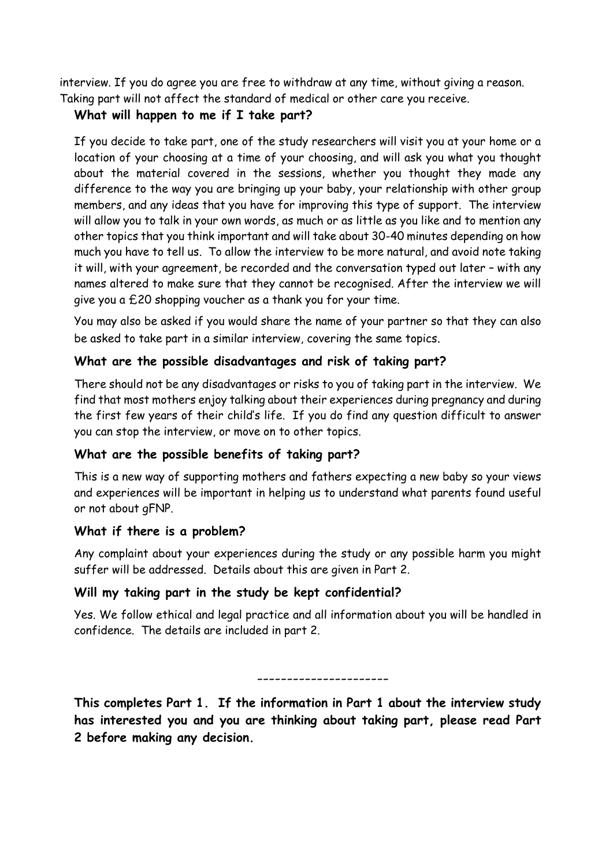interview. If you do agree you are free to withdraw at any time, without giving a reason. Taking part will not affect the standard of medical or other care you receive.

### **What will happen to me if I take part?**

If you decide to take part, one of the study researchers will visit you at your home or a location of your choosing at a time of your choosing, and will ask you what you thought about the material covered in the sessions, whether you thought they made any difference to the way you are bringing up your baby, your relationship with other group members, and any ideas that you have for improving this type of support. The interview will allow you to talk in your own words, as much or as little as you like and to mention any other topics that you think important and will take about 30-40 minutes depending on how much you have to tell us. To allow the interview to be more natural, and avoid note taking it will, with your agreement, be recorded and the conversation typed out later – with any names altered to make sure that they cannot be recognised. After the interview we will give you a £20 shopping voucher as a thank you for your time.

You may also be asked if you would share the name of your partner so that they can also be asked to take part in a similar interview, covering the same topics.

### **What are the possible disadvantages and risk of taking part?**

There should not be any disadvantages or risks to you of taking part in the interview. We find that most mothers enjoy talking about their experiences during pregnancy and during the first few years of their child's life. If you do find any question difficult to answer you can stop the interview, or move on to other topics.

## **What are the possible benefits of taking part?**

This is a new way of supporting mothers and fathers expecting a new baby so your views and experiences will be important in helping us to understand what parents found useful or not about gFNP.

## **What if there is a problem?**

Any complaint about your experiences during the study or any possible harm you might suffer will be addressed. Details about this are given in Part 2.

### **Will my taking part in the study be kept confidential?**

Yes. We follow ethical and legal practice and all information about you will be handled in confidence. The details are included in part 2.

----------------------

**This completes Part 1. If the information in Part 1 about the interview study has interested you and you are thinking about taking part, please read Part 2 before making any decision.**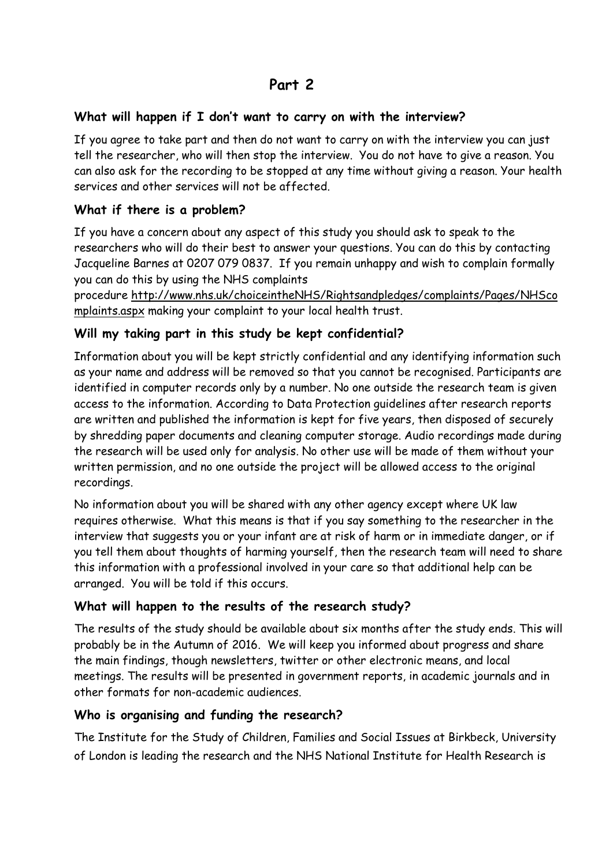## **Part 2**

### **What will happen if I don't want to carry on with the interview?**

If you agree to take part and then do not want to carry on with the interview you can just tell the researcher, who will then stop the interview. You do not have to give a reason. You can also ask for the recording to be stopped at any time without giving a reason. Your health services and other services will not be affected.

### **What if there is a problem?**

If you have a concern about any aspect of this study you should ask to speak to the researchers who will do their best to answer your questions. You can do this by contacting Jacqueline Barnes at 0207 079 0837. If you remain unhappy and wish to complain formally you can do this by using the NHS complaints

procedure [http://www.nhs.uk/choiceintheNHS/Rightsandpledges/complaints/Pages/NHSco](http://www.nhs.uk/choiceintheNHS/Rightsandpledges/complaints/Pages/NHScomplaints.aspx) [mplaints.aspx](http://www.nhs.uk/choiceintheNHS/Rightsandpledges/complaints/Pages/NHScomplaints.aspx) making your complaint to your local health trust.

### **Will my taking part in this study be kept confidential?**

Information about you will be kept strictly confidential and any identifying information such as your name and address will be removed so that you cannot be recognised. Participants are identified in computer records only by a number. No one outside the research team is given access to the information. According to Data Protection guidelines after research reports are written and published the information is kept for five years, then disposed of securely by shredding paper documents and cleaning computer storage. Audio recordings made during the research will be used only for analysis. No other use will be made of them without your written permission, and no one outside the project will be allowed access to the original recordings.

No information about you will be shared with any other agency except where UK law requires otherwise. What this means is that if you say something to the researcher in the interview that suggests you or your infant are at risk of harm or in immediate danger, or if you tell them about thoughts of harming yourself, then the research team will need to share this information with a professional involved in your care so that additional help can be arranged. You will be told if this occurs.

### **What will happen to the results of the research study?**

The results of the study should be available about six months after the study ends. This will probably be in the Autumn of 2016. We will keep you informed about progress and share the main findings, though newsletters, twitter or other electronic means, and local meetings. The results will be presented in government reports, in academic journals and in other formats for non-academic audiences.

### **Who is organising and funding the research?**

The Institute for the Study of Children, Families and Social Issues at Birkbeck, University of London is leading the research and the NHS National Institute for Health Research is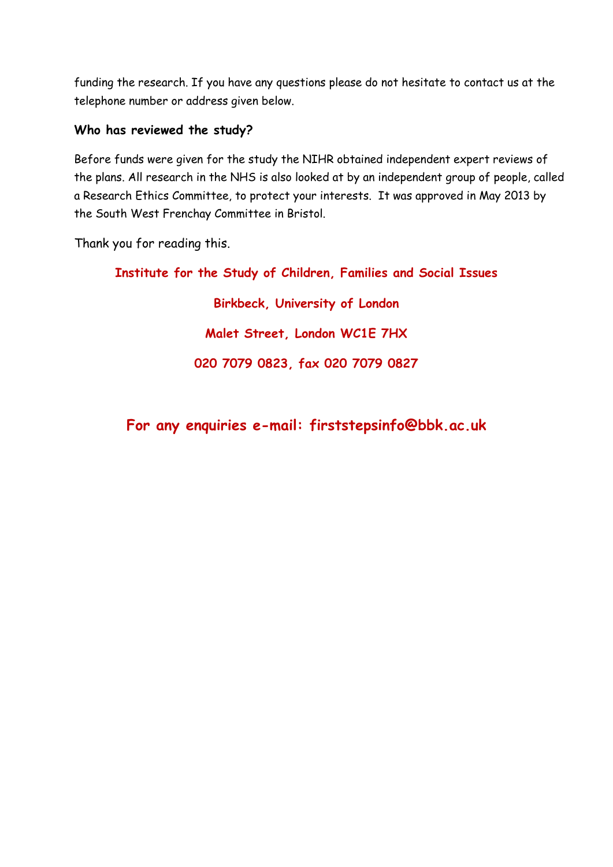funding the research. If you have any questions please do not hesitate to contact us at the telephone number or address given below.

### **Who has reviewed the study?**

Before funds were given for the study the NIHR obtained independent expert reviews of the plans. All research in the NHS is also looked at by an independent group of people, called a Research Ethics Committee, to protect your interests. It was approved in May 2013 by the South West Frenchay Committee in Bristol.

Thank you for reading this.

**Institute for the Study of Children, Families and Social Issues Birkbeck, University of London Malet Street, London WC1E 7HX 020 7079 0823, fax 020 7079 0827**

**For any enquiries e-mail: firststepsinfo@bbk.ac.uk**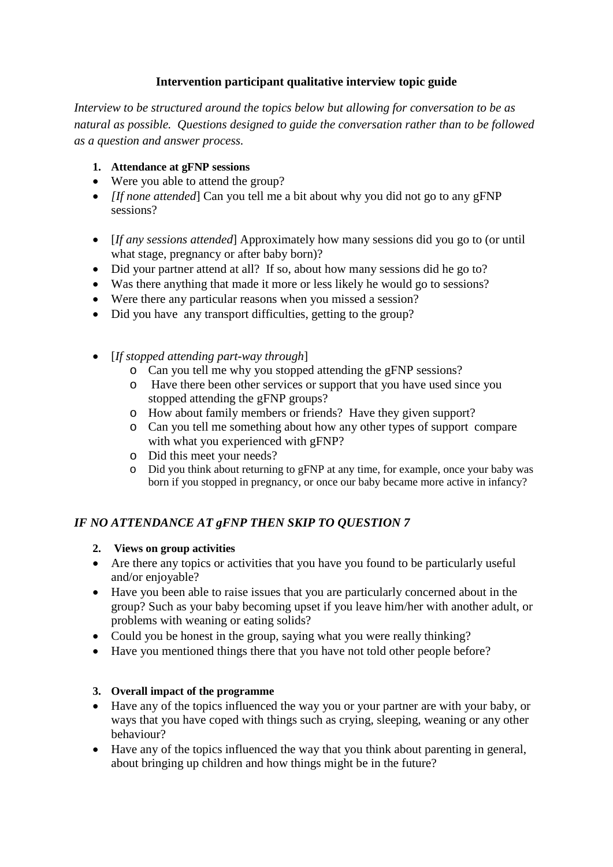### **Intervention participant qualitative interview topic guide**

*Interview to be structured around the topics below but allowing for conversation to be as natural as possible. Questions designed to guide the conversation rather than to be followed as a question and answer process.*

### **1. Attendance at gFNP sessions**

- Were you able to attend the group?
- *[If none attended*] Can you tell me a bit about why you did not go to any gFNP sessions?
- [*If any sessions attended*] Approximately how many sessions did you go to (or until what stage, pregnancy or after baby born)?
- Did your partner attend at all? If so, about how many sessions did he go to?
- Was there anything that made it more or less likely he would go to sessions?
- Were there any particular reasons when you missed a session?
- Did you have any transport difficulties, getting to the group?
- [*If stopped attending part-way through*]
	- o Can you tell me why you stopped attending the gFNP sessions?
	- o Have there been other services or support that you have used since you stopped attending the gFNP groups?
	- o How about family members or friends? Have they given support?
	- o Can you tell me something about how any other types of support compare with what you experienced with gFNP?
	- o Did this meet your needs?
	- o Did you think about returning to gFNP at any time, for example, once your baby was born if you stopped in pregnancy, or once our baby became more active in infancy?

### *IF NO ATTENDANCE AT gFNP THEN SKIP TO QUESTION 7*

- **2. Views on group activities**
- Are there any topics or activities that you have you found to be particularly useful and/or enjoyable?
- Have you been able to raise issues that you are particularly concerned about in the group? Such as your baby becoming upset if you leave him/her with another adult, or problems with weaning or eating solids?
- Could you be honest in the group, saying what you were really thinking?
- Have you mentioned things there that you have not told other people before?

### **3. Overall impact of the programme**

- Have any of the topics influenced the way you or your partner are with your baby, or ways that you have coped with things such as crying, sleeping, weaning or any other behaviour?
- Have any of the topics influenced the way that you think about parenting in general, about bringing up children and how things might be in the future?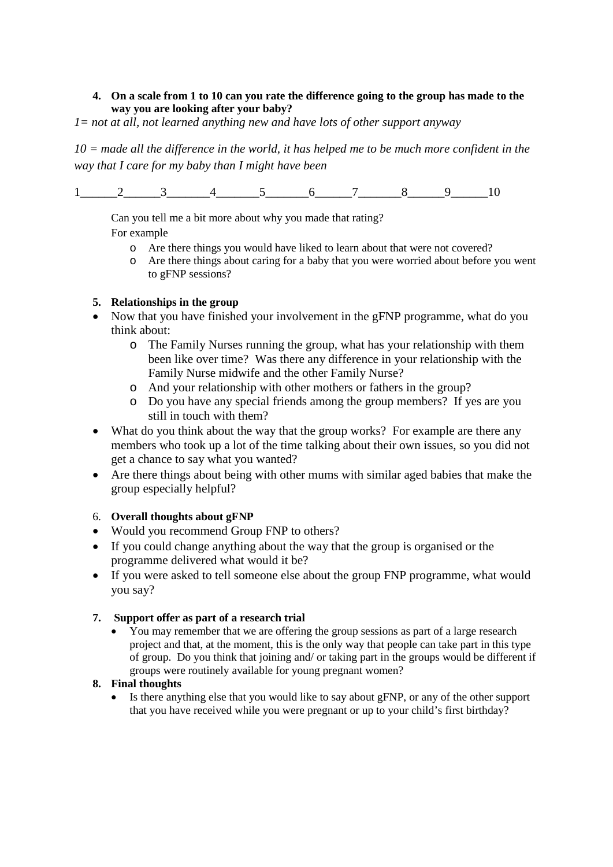#### **4. On a scale from 1 to 10 can you rate the difference going to the group has made to the way you are looking after your baby?**

*1= not at all, not learned anything new and have lots of other support anyway*

*10 = made all the difference in the world, it has helped me to be much more confident in the way that I care for my baby than I might have been*

 $1$  2 3 4 5 6 7 8 9 10

Can you tell me a bit more about why you made that rating? For example

- o Are there things you would have liked to learn about that were not covered?
- o Are there things about caring for a baby that you were worried about before you went to gFNP sessions?

#### **5. Relationships in the group**

- Now that you have finished your involvement in the gFNP programme, what do you think about:
	- o The Family Nurses running the group, what has your relationship with them been like over time? Was there any difference in your relationship with the Family Nurse midwife and the other Family Nurse?
	- o And your relationship with other mothers or fathers in the group?
	- o Do you have any special friends among the group members? If yes are you still in touch with them?
- What do you think about the way that the group works? For example are there any members who took up a lot of the time talking about their own issues, so you did not get a chance to say what you wanted?
- Are there things about being with other mums with similar aged babies that make the group especially helpful?

#### 6. **Overall thoughts about gFNP**

- Would you recommend Group FNP to others?
- If you could change anything about the way that the group is organised or the programme delivered what would it be?
- If you were asked to tell someone else about the group FNP programme, what would you say?

#### **7. Support offer as part of a research trial**

• You may remember that we are offering the group sessions as part of a large research project and that, at the moment, this is the only way that people can take part in this type of group. Do you think that joining and/ or taking part in the groups would be different if groups were routinely available for young pregnant women?

#### **8. Final thoughts**

Is there anything else that you would like to say about gFNP, or any of the other support that you have received while you were pregnant or up to your child's first birthday?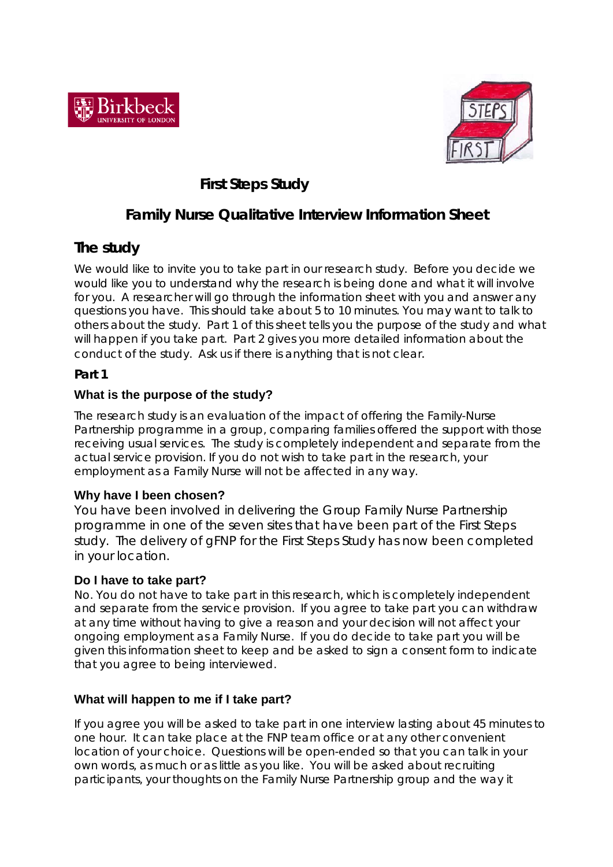



## *First Steps Study*

## **Family Nurse Qualitative Interview Information Sheet**

## **The study**

We would like to invite you to take part in our research study. Before you decide we would like you to understand why the research is being done and what it will involve for you. A researcher will go through the information sheet with you and answer any questions you have. This should take about 5 to 10 minutes. You may want to talk to others about the study. Part 1 of this sheet tells you the purpose of the study and what will happen if you take part. Part 2 gives you more detailed information about the conduct of the study. Ask us if there is anything that is not clear.

### **Part 1**

## **What is the purpose of the study?**

The research study is an evaluation of the impact of offering the Family-Nurse Partnership programme in a group, comparing families offered the support with those receiving usual services. The study is completely independent and separate from the actual service provision. If you do not wish to take part in the research, your employment as a Family Nurse will not be affected in any way.

### **Why have I been chosen?**

You have been involved in delivering the Group Family Nurse Partnership programme in one of the seven sites that have been part of the First Steps study. The delivery of gFNP for the First Steps Study has now been completed in your location.

### **Do I have to take part?**

No. You do not have to take part in this research, which is completely independent and separate from the service provision. If you agree to take part you can withdraw at any time without having to give a reason and your decision will not affect your ongoing employment as a Family Nurse. If you do decide to take part you will be given this information sheet to keep and be asked to sign a consent form to indicate that you agree to being interviewed.

### **What will happen to me if I take part?**

If you agree you will be asked to take part in one interview lasting about 45 minutes to one hour. It can take place at the FNP team office or at any other convenient location of your choice. Questions will be open-ended so that you can talk in your own words, as much or as little as you like. You will be asked about recruiting participants, your thoughts on the Family Nurse Partnership group and the way it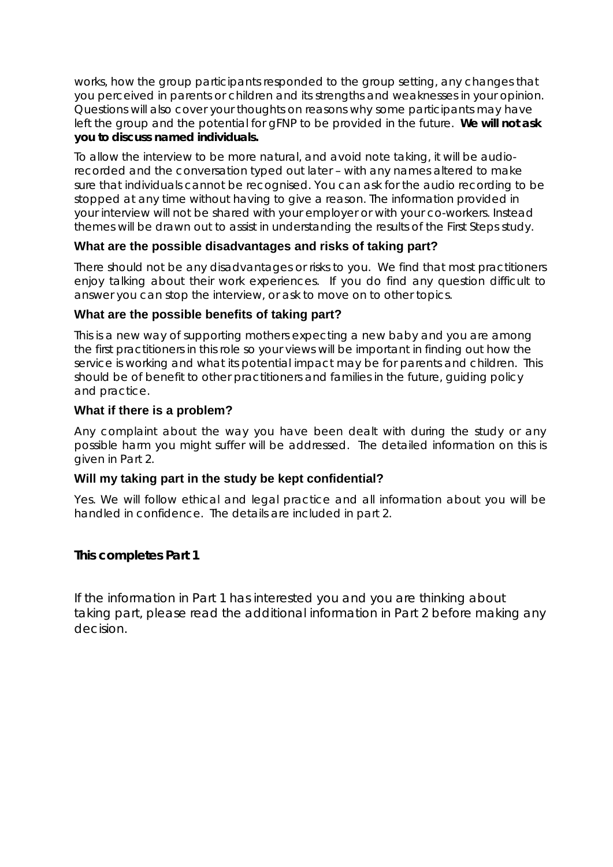works, how the group participants responded to the group setting, any changes that you perceived in parents or children and its strengths and weaknesses in your opinion. Questions will also cover your thoughts on reasons why some participants may have left the group and the potential for gFNP to be provided in the future. **We will not ask you to discuss named individuals.**

To allow the interview to be more natural, and avoid note taking, it will be audiorecorded and the conversation typed out later – with any names altered to make sure that individuals cannot be recognised. You can ask for the audio recording to be stopped at any time without having to give a reason. The information provided in your interview will not be shared with your employer or with your co-workers. Instead themes will be drawn out to assist in understanding the results of the First Steps study.

### **What are the possible disadvantages and risks of taking part?**

There should not be any disadvantages or risks to you. We find that most practitioners enjoy talking about their work experiences. If you do find any question difficult to answer you can stop the interview, or ask to move on to other topics.

### **What are the possible benefits of taking part?**

This is a new way of supporting mothers expecting a new baby and you are among the first practitioners in this role so your views will be important in finding out how the service is working and what its potential impact may be for parents and children. This should be of benefit to other practitioners and families in the future, guiding policy and practice.

### **What if there is a problem?**

Any complaint about the way you have been dealt with during the study or any possible harm you might suffer will be addressed. The detailed information on this is given in Part 2.

### **Will my taking part in the study be kept confidential?**

Yes. We will follow ethical and legal practice and all information about you will be handled in confidence. The details are included in part 2.

## **This completes Part 1**

If the information in Part 1 has interested you and you are thinking about taking part, please read the additional information in Part 2 before making any decision.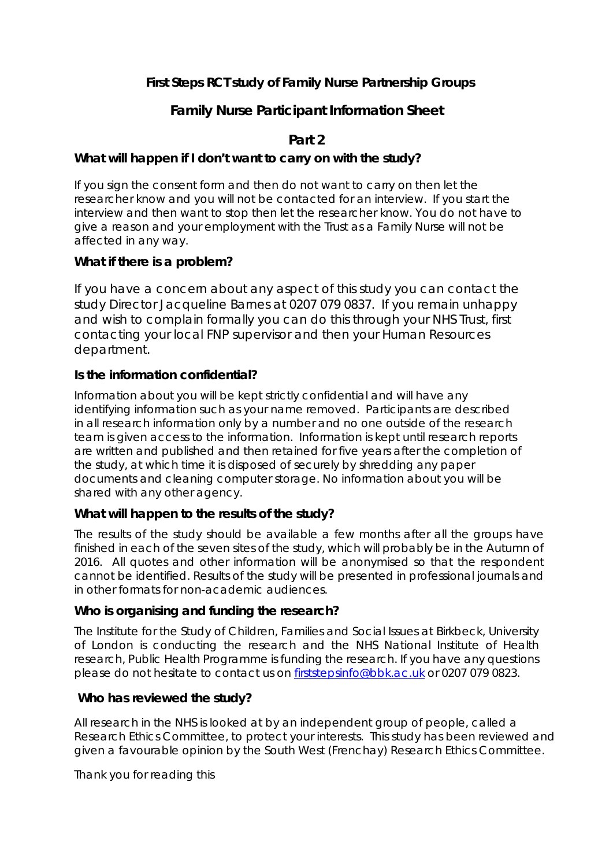### **First Steps RCT study of Family Nurse Partnership Groups**

## **Family Nurse Participant Information Sheet**

## **Part 2**

### **What will happen if I don't want to carry on with the study?**

If you sign the consent form and then do not want to carry on then let the researcher know and you will not be contacted for an interview. If you start the interview and then want to stop then let the researcher know. You do not have to give a reason and your employment with the Trust as a Family Nurse will not be affected in any way.

### **What if there is a problem?**

If you have a concern about any aspect of this study you can contact the study Director Jacqueline Barnes at 0207 079 0837. If you remain unhappy and wish to complain formally you can do this through your NHS Trust, first contacting your local FNP supervisor and then your Human Resources department.

### **Is the information confidential?**

Information about you will be kept strictly confidential and will have any identifying information such as your name removed. Participants are described in all research information only by a number and no one outside of the research team is given access to the information. Information is kept until research reports are written and published and then retained for five years after the completion of the study, at which time it is disposed of securely by shredding any paper documents and cleaning computer storage. No information about you will be shared with any other agency.

### **What will happen to the results of the study?**

The results of the study should be available a few months after all the groups have finished in each of the seven sites of the study, which will probably be in the Autumn of 2016. All quotes and other information will be anonymised so that the respondent cannot be identified. Results of the study will be presented in professional journals and in other formats for non-academic audiences.

### **Who is organising and funding the research?**

The Institute for the Study of Children, Families and Social Issues at Birkbeck, University of London is conducting the research and the NHS National Institute of Health research, Public Health Programme is funding the research. If you have any questions please do not hesitate to contact us on [firststepsinfo@bbk.ac.uk](mailto:firststepsinfo@bbk.ac.uk) or 0207 079 0823.

### **Who has reviewed the study?**

All research in the NHS is looked at by an independent group of people, called a Research Ethics Committee, to protect your interests. This study has been reviewed and given a favourable opinion by the South West (Frenchay) Research Ethics Committee.

Thank you for reading this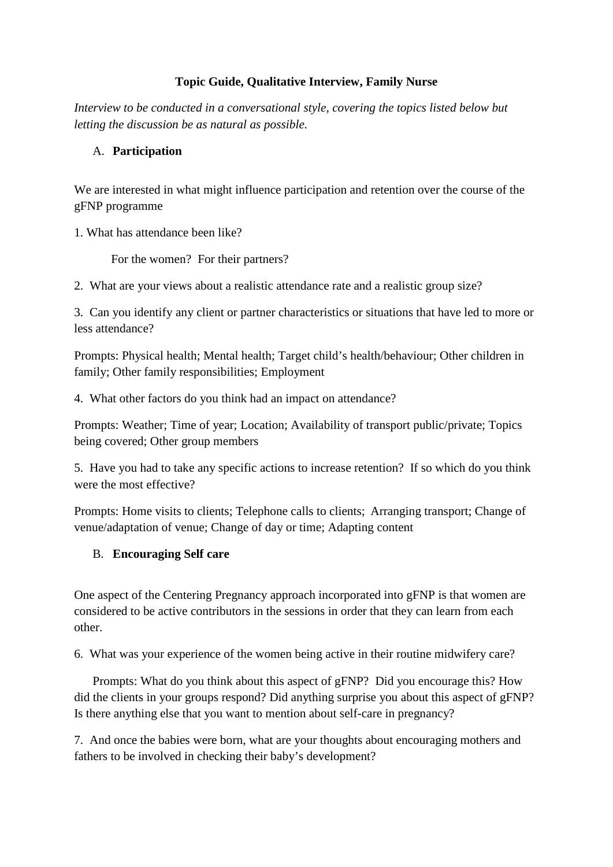### **Topic Guide, Qualitative Interview, Family Nurse**

*Interview to be conducted in a conversational style, covering the topics listed below but letting the discussion be as natural as possible.*

### A. **Participation**

We are interested in what might influence participation and retention over the course of the gFNP programme

1. What has attendance been like?

For the women? For their partners?

2. What are your views about a realistic attendance rate and a realistic group size?

3. Can you identify any client or partner characteristics or situations that have led to more or less attendance?

Prompts: Physical health; Mental health; Target child's health/behaviour; Other children in family; Other family responsibilities; Employment

4. What other factors do you think had an impact on attendance?

Prompts: Weather; Time of year; Location; Availability of transport public/private; Topics being covered; Other group members

5. Have you had to take any specific actions to increase retention? If so which do you think were the most effective?

Prompts: Home visits to clients; Telephone calls to clients; Arranging transport; Change of venue/adaptation of venue; Change of day or time; Adapting content

### B. **Encouraging Self care**

One aspect of the Centering Pregnancy approach incorporated into gFNP is that women are considered to be active contributors in the sessions in order that they can learn from each other.

6. What was your experience of the women being active in their routine midwifery care?

Prompts: What do you think about this aspect of gFNP? Did you encourage this? How did the clients in your groups respond? Did anything surprise you about this aspect of gFNP? Is there anything else that you want to mention about self-care in pregnancy?

7. And once the babies were born, what are your thoughts about encouraging mothers and fathers to be involved in checking their baby's development?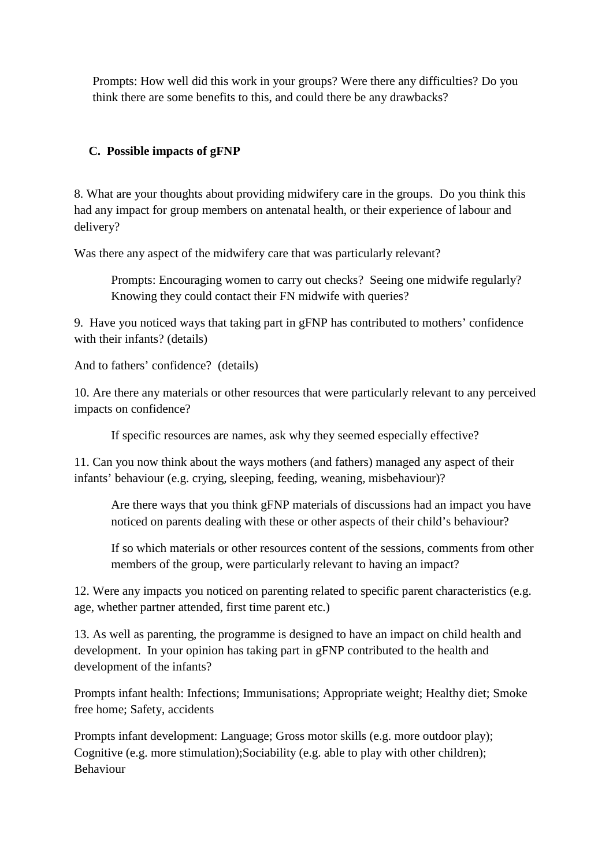Prompts: How well did this work in your groups? Were there any difficulties? Do you think there are some benefits to this, and could there be any drawbacks?

### **C. Possible impacts of gFNP**

8. What are your thoughts about providing midwifery care in the groups. Do you think this had any impact for group members on antenatal health, or their experience of labour and delivery?

Was there any aspect of the midwifery care that was particularly relevant?

Prompts: Encouraging women to carry out checks? Seeing one midwife regularly? Knowing they could contact their FN midwife with queries?

9. Have you noticed ways that taking part in gFNP has contributed to mothers' confidence with their infants? (details)

And to fathers' confidence? (details)

10. Are there any materials or other resources that were particularly relevant to any perceived impacts on confidence?

If specific resources are names, ask why they seemed especially effective?

11. Can you now think about the ways mothers (and fathers) managed any aspect of their infants' behaviour (e.g. crying, sleeping, feeding, weaning, misbehaviour)?

Are there ways that you think gFNP materials of discussions had an impact you have noticed on parents dealing with these or other aspects of their child's behaviour?

If so which materials or other resources content of the sessions, comments from other members of the group, were particularly relevant to having an impact?

12. Were any impacts you noticed on parenting related to specific parent characteristics (e.g. age, whether partner attended, first time parent etc.)

13. As well as parenting, the programme is designed to have an impact on child health and development. In your opinion has taking part in gFNP contributed to the health and development of the infants?

Prompts infant health: Infections; Immunisations; Appropriate weight; Healthy diet; Smoke free home; Safety, accidents

Prompts infant development: Language; Gross motor skills (e.g. more outdoor play); Cognitive (e.g. more stimulation);Sociability (e.g. able to play with other children); Behaviour